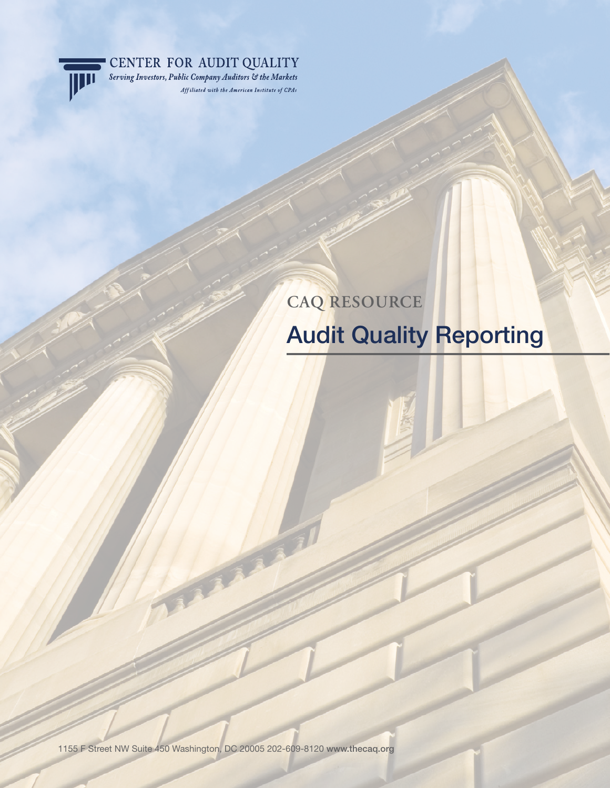

CENTER FOR AUDIT QUALITY Serving Investors, Public Company Auditors & the Markets

Affiliated with the American Institute of CPAs

# **CAQ RESOURCE** Audit Quality Reporting

1155 F Street NW Suite 450 Washington, DC 20005 202-609-8120 www.thecaq.org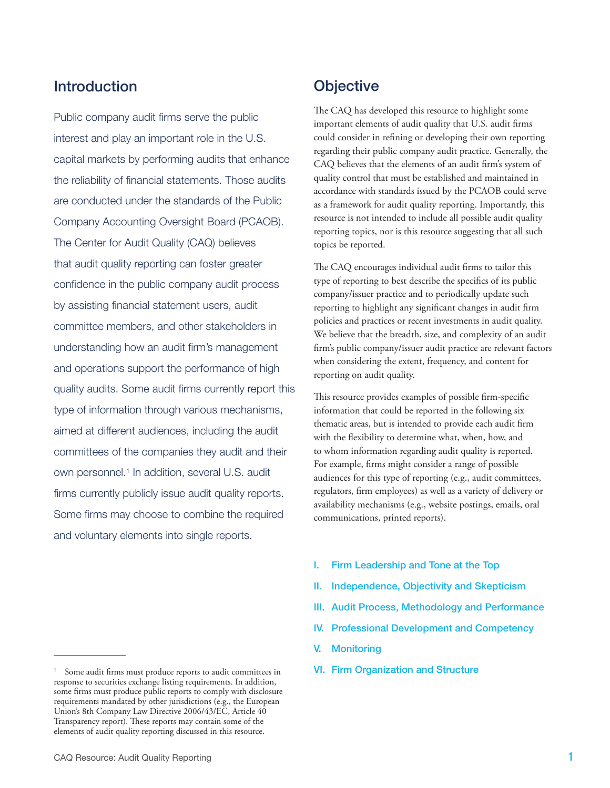# **Introduction**

Public company audit firms serve the public interest and play an important role in the U.S. capital markets by performing audits that enhance the reliability of financial statements. Those audits are conducted under the standards of the Public Company Accounting Oversight Board (PCAOB). The Center for Audit Quality (CAQ) believes that audit quality reporting can foster greater confidence in the public company audit process by assisting financial statement users, audit committee members, and other stakeholders in understanding how an audit firm's management and operations support the performance of high quality audits. Some audit firms currently report this type of information through various mechanisms, aimed at different audiences, including the audit committees of the companies they audit and their own personnel.<sup>1</sup> In addition, several U.S. audit firms currently publicly issue audit quality reports. Some firms may choose to combine the required and voluntary elements into single reports.

# **Objective**

The CAQ has developed this resource to highlight some important elements of audit quality that U.S. audit firms could consider in refining or developing their own reporting regarding their public company audit practice. Generally, the CAQ believes that the elements of an audit firm's system of quality control that must be established and maintained in accordance with standards issued by the PCAOB could serve as a framework for audit quality reporting. Importantly, this resource is not intended to include all possible audit quality reporting topics, nor is this resource suggesting that all such topics be reported.

The CAQ encourages individual audit firms to tailor this type of reporting to best describe the specifics of its public company/issuer practice and to periodically update such reporting to highlight any significant changes in audit firm policies and practices or recent investments in audit quality. We believe that the breadth, size, and complexity of an audit firm's public company/issuer audit practice are relevant factors when considering the extent, frequency, and content for reporting on audit quality.

This resource provides examples of possible firm-specific information that could be reported in the following six thematic areas, but is intended to provide each audit firm with the flexibility to determine what, when, how, and to whom information regarding audit quality is reported. For example, firms might consider a range of possible audiences for this type of reporting (e.g., audit committees, regulators, firm employees) as well as a variety of delivery or availability mechanisms (e.g., website postings, emails, oral communications, printed reports).

- I. Firm Leadership and Tone at the Top
- II. Independence, Objectivity and Skepticism
- III. Audit Process, Methodology and Performance
- IV. Professional Development and Competency
- V. Monitoring
- VI. Firm Organization and Structure

Some audit firms must produce reports to audit committees in response to securities exchange listing requirements. In addition, some firms must produce public reports to comply with disclosure requirements mandated by other jurisdictions (e.g., the European Union's 8th Company Law Directive 2006/43/EC, Article 40 Transparency report). These reports may contain some of the elements of audit quality reporting discussed in this resource.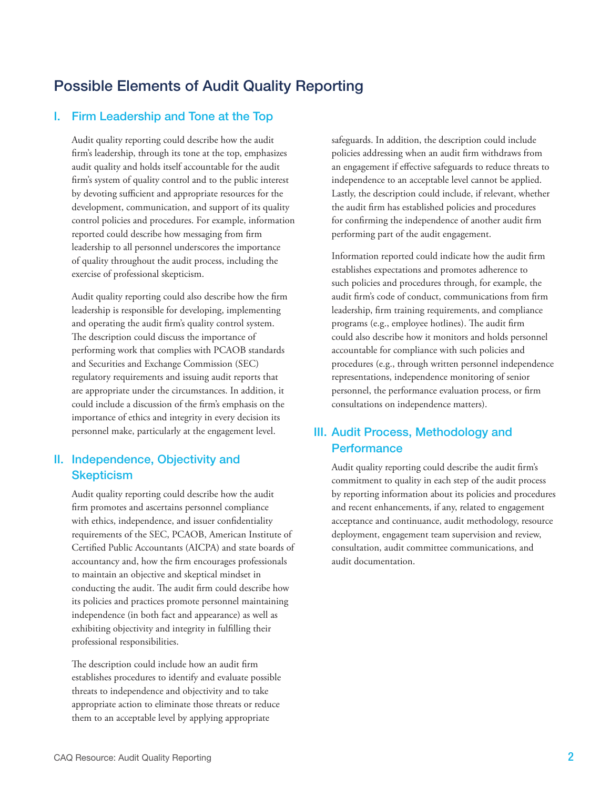# Possible Elements of Audit Quality Reporting

### I. Firm Leadership and Tone at the Top

Audit quality reporting could describe how the audit firm's leadership, through its tone at the top, emphasizes audit quality and holds itself accountable for the audit firm's system of quality control and to the public interest by devoting sufficient and appropriate resources for the development, communication, and support of its quality control policies and procedures. For example, information reported could describe how messaging from firm leadership to all personnel underscores the importance of quality throughout the audit process, including the exercise of professional skepticism.

Audit quality reporting could also describe how the firm leadership is responsible for developing, implementing and operating the audit firm's quality control system. The description could discuss the importance of performing work that complies with PCAOB standards and Securities and Exchange Commission (SEC) regulatory requirements and issuing audit reports that are appropriate under the circumstances. In addition, it could include a discussion of the firm's emphasis on the importance of ethics and integrity in every decision its personnel make, particularly at the engagement level.

## II. Independence, Objectivity and **Skepticism**

Audit quality reporting could describe how the audit firm promotes and ascertains personnel compliance with ethics, independence, and issuer confidentiality requirements of the SEC, PCAOB, American Institute of Certified Public Accountants (AICPA) and state boards of accountancy and, how the firm encourages professionals to maintain an objective and skeptical mindset in conducting the audit. The audit firm could describe how its policies and practices promote personnel maintaining independence (in both fact and appearance) as well as exhibiting objectivity and integrity in fulfilling their professional responsibilities.

The description could include how an audit firm establishes procedures to identify and evaluate possible threats to independence and objectivity and to take appropriate action to eliminate those threats or reduce them to an acceptable level by applying appropriate

safeguards. In addition, the description could include policies addressing when an audit firm withdraws from an engagement if effective safeguards to reduce threats to independence to an acceptable level cannot be applied. Lastly, the description could include, if relevant, whether the audit firm has established policies and procedures for confirming the independence of another audit firm performing part of the audit engagement.

Information reported could indicate how the audit firm establishes expectations and promotes adherence to such policies and procedures through, for example, the audit firm's code of conduct, communications from firm leadership, firm training requirements, and compliance programs (e.g., employee hotlines). The audit firm could also describe how it monitors and holds personnel accountable for compliance with such policies and procedures (e.g., through written personnel independence representations, independence monitoring of senior personnel, the performance evaluation process, or firm consultations on independence matters).

## III. Audit Process, Methodology and **Performance**

Audit quality reporting could describe the audit firm's commitment to quality in each step of the audit process by reporting information about its policies and procedures and recent enhancements, if any, related to engagement acceptance and continuance, audit methodology, resource deployment, engagement team supervision and review, consultation, audit committee communications, and audit documentation.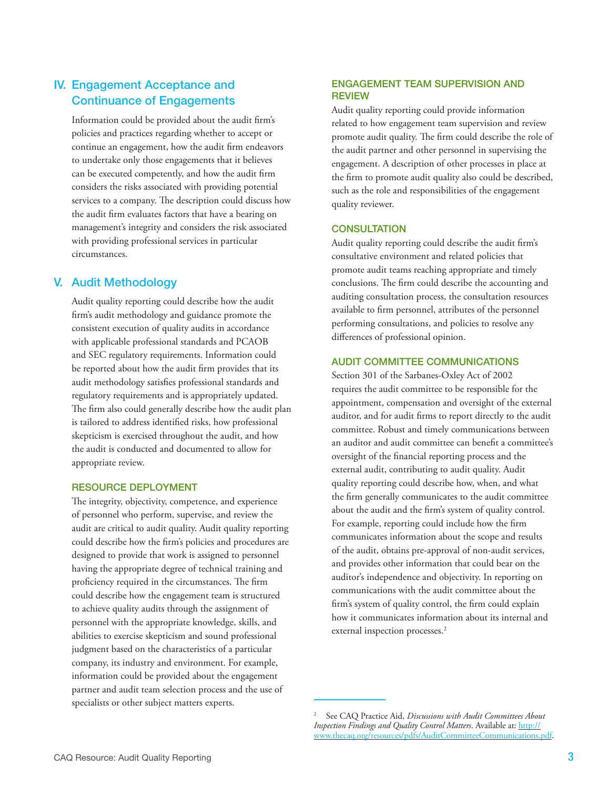# IV. Engagement Acceptance and Continuance of Engagements

Information could be provided about the audit firm's policies and practices regarding whether to accept or continue an engagement, how the audit firm endeavors to undertake only those engagements that it believes can be executed competently, and how the audit firm considers the risks associated with providing potential services to a company. The description could discuss how the audit firm evaluates factors that have a bearing on management's integrity and considers the risk associated with providing professional services in particular circumstances.

## V. Audit Methodology

Audit quality reporting could describe how the audit firm's audit methodology and guidance promote the consistent execution of quality audits in accordance with applicable professional standards and PCAOB and SEC regulatory requirements. Information could be reported about how the audit firm provides that its audit methodology satisfies professional standards and regulatory requirements and is appropriately updated. The firm also could generally describe how the audit plan is tailored to address identified risks, how professional skepticism is exercised throughout the audit, and how the audit is conducted and documented to allow for appropriate review.

#### Resource Deployment

The integrity, objectivity, competence, and experience of personnel who perform, supervise, and review the audit are critical to audit quality. Audit quality reporting could describe how the firm's policies and procedures are designed to provide that work is assigned to personnel having the appropriate degree of technical training and proficiency required in the circumstances. The firm could describe how the engagement team is structured to achieve quality audits through the assignment of personnel with the appropriate knowledge, skills, and abilities to exercise skepticism and sound professional judgment based on the characteristics of a particular company, its industry and environment. For example, information could be provided about the engagement partner and audit team selection process and the use of specialists or other subject matters experts.

#### Engagement Team Supervision and **REVIEW**

Audit quality reporting could provide information related to how engagement team supervision and review promote audit quality. The firm could describe the role of the audit partner and other personnel in supervising the engagement. A description of other processes in place at the firm to promote audit quality also could be described, such as the role and responsibilities of the engagement quality reviewer.

#### **CONSULTATION**

Audit quality reporting could describe the audit firm's consultative environment and related policies that promote audit teams reaching appropriate and timely conclusions. The firm could describe the accounting and auditing consultation process, the consultation resources available to firm personnel, attributes of the personnel performing consultations, and policies to resolve any differences of professional opinion.

#### Audit Committee Communications

Section 301 of the Sarbanes-Oxley Act of 2002 requires the audit committee to be responsible for the appointment, compensation and oversight of the external auditor, and for audit firms to report directly to the audit committee. Robust and timely communications between an auditor and audit committee can benefit a committee's oversight of the financial reporting process and the external audit, contributing to audit quality. Audit quality reporting could describe how, when, and what the firm generally communicates to the audit committee about the audit and the firm's system of quality control. For example, reporting could include how the firm communicates information about the scope and results of the audit, obtains pre-approval of non-audit services, and provides other information that could bear on the auditor's independence and objectivity. In reporting on communications with the audit committee about the firm's system of quality control, the firm could explain how it communicates information about its internal and external inspection processes.<sup>2</sup>

<sup>2</sup> See CAQ Practice Aid, *Discussions with Audit Committees About Inspection Findings and Quality Control Matters*. Available at: http:// www.thecaq.org/resources/pdfs/AuditCommitteeCommunications.pdf.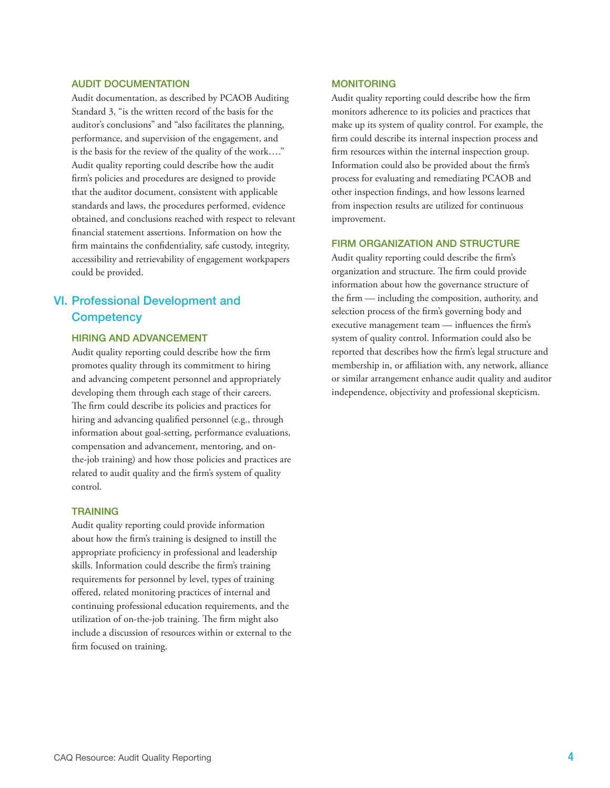#### Audit Documentation

Audit documentation, as described by PCAOB Auditing Standard 3, "is the written record of the basis for the auditor's conclusions" and "also facilitates the planning, performance, and supervision of the engagement, and is the basis for the review of the quality of the work…." Audit quality reporting could describe how the audit firm's policies and procedures are designed to provide that the auditor document, consistent with applicable standards and laws, the procedures performed, evidence obtained, and conclusions reached with respect to relevant financial statement assertions. Information on how the firm maintains the confidentiality, safe custody, integrity, accessibility and retrievability of engagement workpapers could be provided.

# VI. Professional Development and **Competency**

#### Hiring and Advancement

Audit quality reporting could describe how the firm promotes quality through its commitment to hiring and advancing competent personnel and appropriately developing them through each stage of their careers. The firm could describe its policies and practices for hiring and advancing qualified personnel (e.g., through information about goal-setting, performance evaluations, compensation and advancement, mentoring, and onthe-job training) and how those policies and practices are related to audit quality and the firm's system of quality control.

#### **TRAINING**

Audit quality reporting could provide information about how the firm's training is designed to instill the appropriate proficiency in professional and leadership skills. Information could describe the firm's training requirements for personnel by level, types of training offered, related monitoring practices of internal and continuing professional education requirements, and the utilization of on-the-job training. The firm might also include a discussion of resources within or external to the firm focused on training.

#### **MONITORING**

Audit quality reporting could describe how the firm monitors adherence to its policies and practices that make up its system of quality control. For example, the firm could describe its internal inspection process and firm resources within the internal inspection group. Information could also be provided about the firm's process for evaluating and remediating PCAOB and other inspection findings, and how lessons learned from inspection results are utilized for continuous improvement.

#### Firm Organization and Structure

Audit quality reporting could describe the firm's organization and structure. The firm could provide information about how the governance structure of the firm — including the composition, authority, and selection process of the firm's governing body and executive management team — influences the firm's system of quality control. Information could also be reported that describes how the firm's legal structure and membership in, or affiliation with, any network, alliance or similar arrangement enhance audit quality and auditor independence, objectivity and professional skepticism.